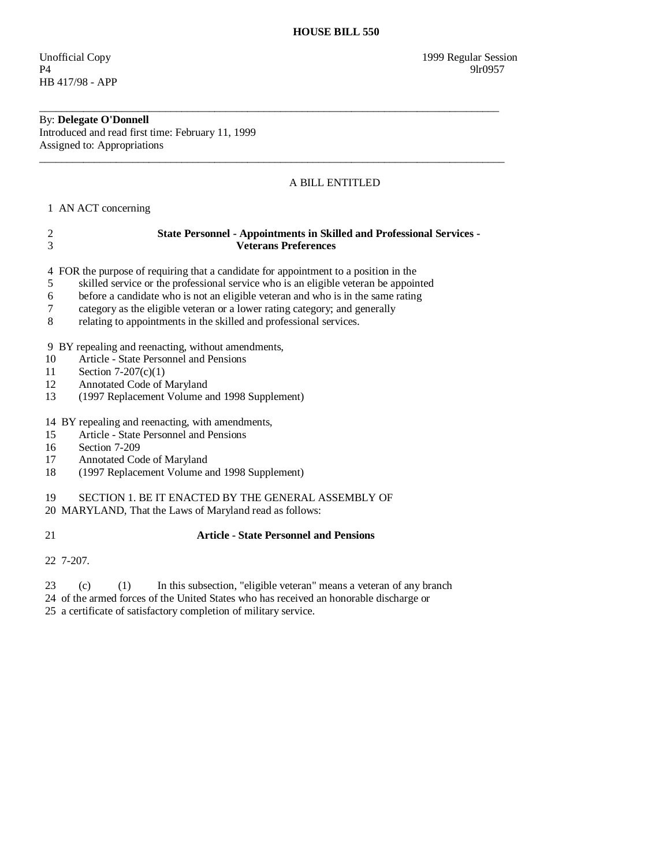P4 9lr0957 HB 417/98 - APP

## By: **Delegate O'Donnell**

Introduced and read first time: February 11, 1999 Assigned to: Appropriations

## A BILL ENTITLED

1 AN ACT concerning

| 2<br>3                | <b>State Personnel - Appointments in Skilled and Professional Services -</b><br><b>Veterans Preferences</b>                                                                                                                                                                                                                                                                                                      |
|-----------------------|------------------------------------------------------------------------------------------------------------------------------------------------------------------------------------------------------------------------------------------------------------------------------------------------------------------------------------------------------------------------------------------------------------------|
| 4<br>5<br>6<br>7<br>8 | FOR the purpose of requiring that a candidate for appointment to a position in the<br>skilled service or the professional service who is an eligible veteran be appointed<br>before a candidate who is not an eligible veteran and who is in the same rating<br>category as the eligible veteran or a lower rating category; and generally<br>relating to appointments in the skilled and professional services. |
| 10<br>11<br>12<br>13  | 9 BY repealing and reenacting, without amendments,<br>Article - State Personnel and Pensions<br>Section $7-207(c)(1)$<br>Annotated Code of Maryland<br>(1997 Replacement Volume and 1998 Supplement)                                                                                                                                                                                                             |
| 15<br>16<br>17<br>18  | 14 BY repealing and reenacting, with amendments,<br>Article - State Personnel and Pensions<br>Section 7-209<br>Annotated Code of Maryland<br>(1997 Replacement Volume and 1998 Supplement)                                                                                                                                                                                                                       |
| 19                    | SECTION 1. BE IT ENACTED BY THE GENERAL ASSEMBLY OF<br>20 MARYLAND, That the Laws of Maryland read as follows:                                                                                                                                                                                                                                                                                                   |

\_\_\_\_\_\_\_\_\_\_\_\_\_\_\_\_\_\_\_\_\_\_\_\_\_\_\_\_\_\_\_\_\_\_\_\_\_\_\_\_\_\_\_\_\_\_\_\_\_\_\_\_\_\_\_\_\_\_\_\_\_\_\_\_\_\_\_\_\_\_\_\_\_\_\_\_\_\_\_\_\_\_\_\_

\_\_\_\_\_\_\_\_\_\_\_\_\_\_\_\_\_\_\_\_\_\_\_\_\_\_\_\_\_\_\_\_\_\_\_\_\_\_\_\_\_\_\_\_\_\_\_\_\_\_\_\_\_\_\_\_\_\_\_\_\_\_\_\_\_\_\_\_\_\_\_\_\_\_\_\_\_\_\_\_\_\_\_\_\_

## 21 **Article - State Personnel and Pensions**

22 7-207.

23 (c) (1) In this subsection, "eligible veteran" means a veteran of any branch

24 of the armed forces of the United States who has received an honorable discharge or

25 a certificate of satisfactory completion of military service.